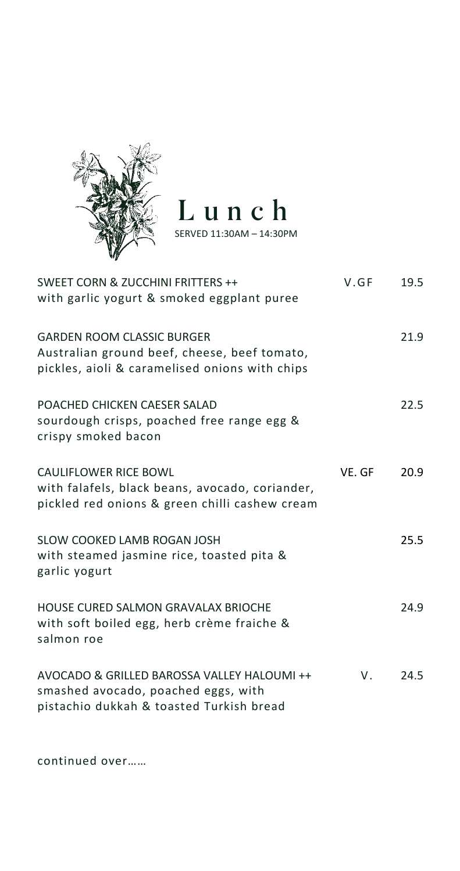

## Lunch

SERVED 11:30AM – 14:30PM

| SWEET CORN & ZUCCHINI FRITTERS ++<br>with garlic yogurt & smoked eggplant puree                                                     | V.GF   | 19.5 |
|-------------------------------------------------------------------------------------------------------------------------------------|--------|------|
| <b>GARDEN ROOM CLASSIC BURGER</b><br>Australian ground beef, cheese, beef tomato,<br>pickles, aioli & caramelised onions with chips |        | 21.9 |
| POACHED CHICKEN CAESER SALAD<br>sourdough crisps, poached free range egg &<br>crispy smoked bacon                                   |        | 22.5 |
| <b>CAULIFLOWER RICE BOWL</b><br>with falafels, black beans, avocado, coriander,<br>pickled red onions & green chilli cashew cream   | VE. GF | 20.9 |
| SLOW COOKED LAMB ROGAN JOSH<br>with steamed jasmine rice, toasted pita &<br>garlic yogurt                                           |        | 25.5 |
| HOUSE CURED SALMON GRAVALAX BRIOCHE<br>with soft boiled egg, herb crème fraiche &<br>salmon roe                                     |        | 24.9 |
| AVOCADO & GRILLED BAROSSA VALLEY HALOUMI ++<br>smashed avocado, poached eggs, with<br>pistachio dukkah & toasted Turkish bread      | V.     | 24.5 |

continued over……